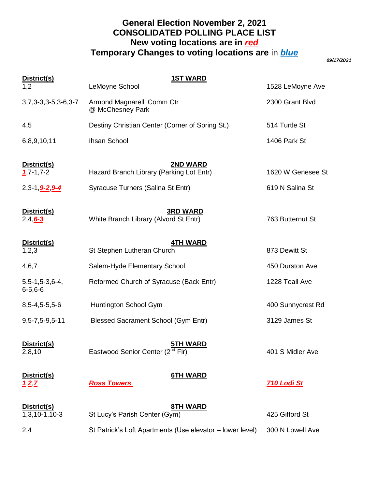# **General Election November 2, 2021 CONSOLIDATED POLLING PLACE LIST New voting locations are in** *red* **Temporary Changes to voting locations are** in *blue*

*09/17/2021*

| District(s)                                 | <b>1ST WARD</b>                                                 |                    |
|---------------------------------------------|-----------------------------------------------------------------|--------------------|
| 1,2                                         | LeMoyne School                                                  | 1528 LeMoyne Ave   |
| $3,7,3-3,3-5,3-6,3-7$                       | Armond Magnarelli Comm Ctr<br>@ McChesney Park                  | 2300 Grant Blvd    |
| 4,5                                         | Destiny Christian Center (Corner of Spring St.)                 | 514 Turtle St      |
| 6,8,9,10,11                                 | <b>Ihsan School</b>                                             | 1406 Park St       |
| District(s)<br>$1,7-1,7-2$                  | <b>2ND WARD</b><br>Hazard Branch Library (Parking Lot Entr)     | 1620 W Genesee St  |
| 2,3-1, <b>9-2, 9-4</b>                      | Syracuse Turners (Salina St Entr)                               | 619 N Salina St    |
| District(s)<br>$2,4,6-3$                    | <b>3RD WARD</b><br>White Branch Library (Alvord St Entr)        | 763 Butternut St   |
| District(s)<br>1,2,3                        | <b>4TH WARD</b><br>St Stephen Lutheran Church                   | 873 Dewitt St      |
| 4,6,7                                       | Salem-Hyde Elementary School                                    | 450 Durston Ave    |
| $5, 5 - 1, 5 - 3, 6 - 4,$<br>$6 - 5, 6 - 6$ | Reformed Church of Syracuse (Back Entr)                         | 1228 Teall Ave     |
| $8,5-4,5-5,5-6$                             | Huntington School Gym                                           | 400 Sunnycrest Rd  |
| 9,5-7,5-9,5-11                              | <b>Blessed Sacrament School (Gym Entr)</b>                      | 3129 James St      |
| District(s)<br>2,8,10                       | <b>5TH WARD</b><br>Eastwood Senior Center (2 <sup>nd</sup> Flr) | 401 S Midler Ave   |
| District(s)<br>127                          | <b>6TH WARD</b><br><b>Ross Towers</b>                           | <b>710 Lodi St</b> |
| <u>District(s)</u><br>1,3,10-1,10-3         | <b>8TH WARD</b><br>St Lucy's Parish Center (Gym)                | 425 Gifford St     |
| 2,4                                         | St Patrick's Loft Apartments (Use elevator - lower level)       | 300 N Lowell Ave   |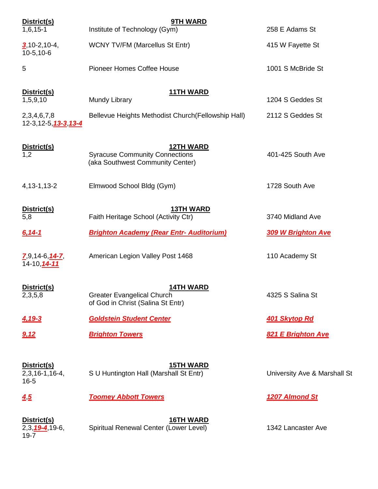| District(s)<br>$1,6,15-1$                               | <b>9TH WARD</b><br>Institute of Technology (Gym)                                              | 258 E Adams St               |
|---------------------------------------------------------|-----------------------------------------------------------------------------------------------|------------------------------|
| $3,10-2,10-4,$<br>$10-5, 10-6$                          | <b>WCNY TV/FM (Marcellus St Entr)</b>                                                         | 415 W Fayette St             |
| 5                                                       | <b>Pioneer Homes Coffee House</b>                                                             | 1001 S McBride St            |
| District(s)<br>1,5,9,10                                 | <b>11TH WARD</b><br>Mundy Library                                                             | 1204 S Geddes St             |
| 2,3,4,6,7,8<br>12-3,12-5, 13-3, 13-4                    | Bellevue Heights Methodist Church (Fellowship Hall)                                           | 2112 S Geddes St             |
| District(s)<br>1,2                                      | <b>12TH WARD</b><br><b>Syracuse Community Connections</b><br>(aka Southwest Community Center) | 401-425 South Ave            |
| 4, 13-1, 13-2                                           | Elmwood School Bldg (Gym)                                                                     | 1728 South Ave               |
| District(s)<br>5,8                                      | <b>13TH WARD</b><br>Faith Heritage School (Activity Ctr)                                      | 3740 Midland Ave             |
| 6,14-1                                                  | <b>Brighton Academy (Rear Entr- Auditorium)</b>                                               | <b>309 W Brighton Ave</b>    |
| $7,9,14-6, 14-7$<br>14-10, 14-11                        | American Legion Valley Post 1468                                                              | 110 Academy St               |
| District(s)<br>2,3,5,8                                  | <b>14TH WARD</b><br><b>Greater Evangelical Church</b><br>of God in Christ (Salina St Entr)    | 4325 S Salina St             |
| <u>4,19-3</u>                                           | <b>Goldstein Student Center</b>                                                               | 401 Skytop Rd                |
| 9,12                                                    | <b>Brighton Towers</b>                                                                        | 821 E Brighton Ave           |
| District(s)<br>$2,3,16-1,16-4,$<br>$16 - 5$             | <b>15TH WARD</b><br>S U Huntington Hall (Marshall St Entr)                                    | University Ave & Marshall St |
| 45                                                      | <b>Toomey Abbott Towers</b>                                                                   | 1207 Almond St               |
| District(s)<br>$2,3,\underline{19-4},19-6,$<br>$19 - 7$ | <b>16TH WARD</b><br>Spiritual Renewal Center (Lower Level)                                    | 1342 Lancaster Ave           |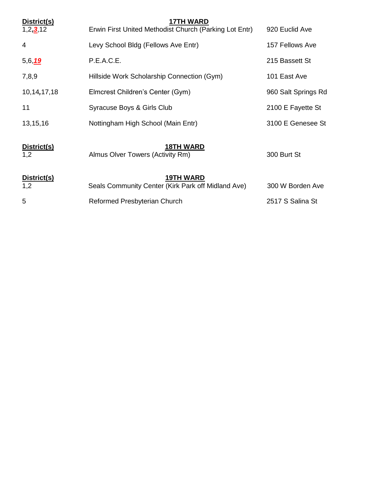| District(s)<br>1, 2, 3, 12 | <b>17TH WARD</b><br>Erwin First United Methodist Church (Parking Lot Entr) | 920 Euclid Ave      |
|----------------------------|----------------------------------------------------------------------------|---------------------|
| 4                          | Levy School Bldg (Fellows Ave Entr)                                        | 157 Fellows Ave     |
| 5,6,19                     | P.E.A.C.E.                                                                 | 215 Bassett St      |
| 7,8,9                      | Hillside Work Scholarship Connection (Gym)                                 | 101 East Ave        |
| 10,14,17,18                | Elmcrest Children's Center (Gym)                                           | 960 Salt Springs Rd |
| 11                         | Syracuse Boys & Girls Club                                                 | 2100 E Fayette St   |
| 13,15,16                   | Nottingham High School (Main Entr)                                         | 3100 E Genesee St   |
| District(s)<br>1,2         | <b>18TH WARD</b><br>Almus Olver Towers (Activity Rm)                       | 300 Burt St         |
| District(s)<br>1,2         | <b>19TH WARD</b><br>Seals Community Center (Kirk Park off Midland Ave)     | 300 W Borden Ave    |
| 5                          | Reformed Presbyterian Church                                               | 2517 S Salina St    |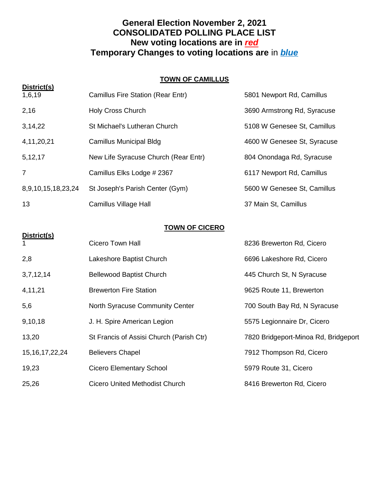# **General Election November 2, 2021 CONSOLIDATED POLLING PLACE LIST New voting locations are in** *red* **Temporary Changes to voting locations are** in *blue*

#### **TOWN OF CAMILLUS**

| District(s)        |                                      |                             |
|--------------------|--------------------------------------|-----------------------------|
| 1,6,19             | Camillus Fire Station (Rear Entr)    | 5801 Newport Rd, Camillus   |
| 2,16               | <b>Holy Cross Church</b>             | 3690 Armstrong Rd, Syracuse |
| 3,14,22            | St Michael's Lutheran Church         | 5108 W Genesee St, Camillus |
| 4, 11, 20, 21      | Camillus Municipal Bldg              | 4600 W Genesee St, Syracuse |
| 5, 12, 17          | New Life Syracuse Church (Rear Entr) | 804 Onondaga Rd, Syracuse   |
| 7                  | Camillus Elks Lodge # 2367           | 6117 Newport Rd, Camillus   |
| 8,9,10,15,18,23,24 | St Joseph's Parish Center (Gym)      | 5600 W Genesee St, Camillus |
| 13                 | Camillus Village Hall                | 37 Main St, Camillus        |

#### **TOWN OF CICERO**

**District(s)**

| $\mathbf{1}$       | <b>Cicero Town Hall</b>                  | 8236 Brewerton Rd, Cicero            |
|--------------------|------------------------------------------|--------------------------------------|
| 2,8                | Lakeshore Baptist Church                 | 6696 Lakeshore Rd, Cicero            |
| 3,7,12,14          | <b>Bellewood Baptist Church</b>          | 445 Church St, N Syracuse            |
| 4,11,21            | <b>Brewerton Fire Station</b>            | 9625 Route 11, Brewerton             |
| 5,6                | North Syracuse Community Center          | 700 South Bay Rd, N Syracuse         |
| 9,10,18            | J. H. Spire American Legion              | 5575 Legionnaire Dr, Cicero          |
| 13,20              | St Francis of Assisi Church (Parish Ctr) | 7820 Bridgeport-Minoa Rd, Bridgeport |
| 15, 16, 17, 22, 24 | <b>Believers Chapel</b>                  | 7912 Thompson Rd, Cicero             |
| 19,23              | Cicero Elementary School                 | 5979 Route 31, Cicero                |
| 25,26              | Cicero United Methodist Church           | 8416 Brewerton Rd, Cicero            |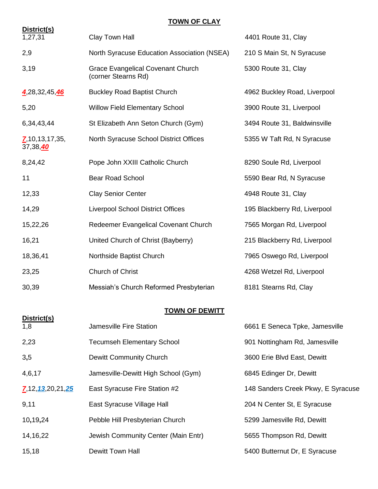#### **TOWN OF CLAY**

| District(s)                       |                                                                 |                              |
|-----------------------------------|-----------------------------------------------------------------|------------------------------|
| 1,27,31                           | Clay Town Hall                                                  | 4401 Route 31, Clay          |
| 2,9                               | North Syracuse Education Association (NSEA)                     | 210 S Main St, N Syracuse    |
| 3,19                              | <b>Grace Evangelical Covenant Church</b><br>(corner Stearns Rd) | 5300 Route 31, Clay          |
| 4,28,32,45,46                     | <b>Buckley Road Baptist Church</b>                              | 4962 Buckley Road, Liverpool |
| 5,20                              | <b>Willow Field Elementary School</b>                           | 3900 Route 31, Liverpool     |
| 6,34,43,44                        | St Elizabeth Ann Seton Church (Gym)                             | 3494 Route 31, Baldwinsville |
| $Z$ , 10, 13, 17, 35,<br>37,38,40 | North Syracuse School District Offices                          | 5355 W Taft Rd, N Syracuse   |
| 8,24,42                           | Pope John XXIII Catholic Church                                 | 8290 Soule Rd, Liverpool     |
| 11                                | <b>Bear Road School</b>                                         | 5590 Bear Rd, N Syracuse     |
| 12,33                             | <b>Clay Senior Center</b>                                       | 4948 Route 31, Clay          |
| 14,29                             | <b>Liverpool School District Offices</b>                        | 195 Blackberry Rd, Liverpool |
| 15,22,26                          | Redeemer Evangelical Covenant Church                            | 7565 Morgan Rd, Liverpool    |
| 16,21                             | United Church of Christ (Bayberry)                              | 215 Blackberry Rd, Liverpool |
| 18,36,41                          | Northside Baptist Church                                        | 7965 Oswego Rd, Liverpool    |
| 23,25                             | Church of Christ                                                | 4268 Wetzel Rd, Liverpool    |
| 30,39                             | Messiah's Church Reformed Presbyterian                          | 8181 Stearns Rd, Clay        |

## **TOWN OF DEWITT**

| District(s)              |                                     |                                    |
|--------------------------|-------------------------------------|------------------------------------|
| 1,8                      | Jamesville Fire Station             | 6661 E Seneca Tpke, Jamesville     |
| 2,23                     | <b>Tecumseh Elementary School</b>   | 901 Nottingham Rd, Jamesville      |
| 3,5                      | Dewitt Community Church             | 3600 Erie Blvd East, Dewitt        |
| 4,6,17                   | Jamesville-Dewitt High School (Gym) | 6845 Edinger Dr, Dewitt            |
| $Z$ , 12, 13, 20, 21, 25 | East Syracuse Fire Station #2       | 148 Sanders Creek Pkwy, E Syracuse |
| 9,11                     | East Syracuse Village Hall          | 204 N Center St, E Syracuse        |
| 10,19,24                 | Pebble Hill Presbyterian Church     | 5299 Jamesville Rd, Dewitt         |
| 14, 16, 22               | Jewish Community Center (Main Entr) | 5655 Thompson Rd, Dewitt           |
| 15,18                    | <b>Dewitt Town Hall</b>             | 5400 Butternut Dr, E Syracuse      |
|                          |                                     |                                    |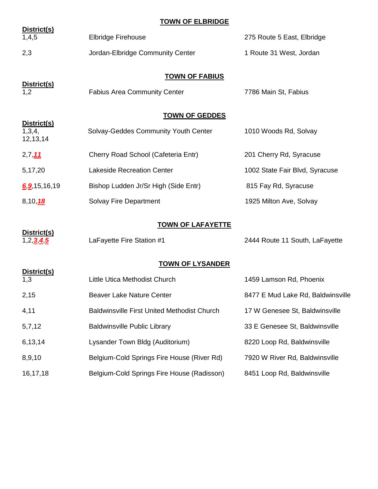## **TOWN OF ELBRIDGE**

| District(s)<br>1,4,5              | <b>Elbridge Firehouse</b>                                    | 275 Route 5 East, Elbridge        |
|-----------------------------------|--------------------------------------------------------------|-----------------------------------|
| 2,3                               | Jordan-Elbridge Community Center                             | 1 Route 31 West, Jordan           |
| District(s)<br>1,2                | <b>TOWN OF FABIUS</b><br><b>Fabius Area Community Center</b> | 7786 Main St, Fabius              |
|                                   | <b>TOWN OF GEDDES</b>                                        |                                   |
| District(s)<br>1,3,4,<br>12,13,14 | Solvay-Geddes Community Youth Center                         | 1010 Woods Rd, Solvay             |
| 2,7,11                            | Cherry Road School (Cafeteria Entr)                          | 201 Cherry Rd, Syracuse           |
| 5,17,20                           | <b>Lakeside Recreation Center</b>                            | 1002 State Fair Blvd, Syracuse    |
| 6.9, 15, 16, 19                   | Bishop Ludden Jr/Sr High (Side Entr)                         | 815 Fay Rd, Syracuse              |
| 8, 10, 18                         | Solvay Fire Department                                       | 1925 Milton Ave, Solvay           |
|                                   | <b>TOWN OF LAFAYETTE</b>                                     |                                   |
| District(s)<br>1,2 $345$          | LaFayette Fire Station #1                                    | 2444 Route 11 South, LaFayette    |
| <b>TOWN OF LYSANDER</b>           |                                                              |                                   |
| District(s)<br>1,3                | Little Utica Methodist Church                                | 1459 Lamson Rd, Phoenix           |
| 2,15                              | <b>Beaver Lake Nature Center</b>                             | 8477 E Mud Lake Rd, Baldwinsville |
| 4,11                              | <b>Baldwinsville First United Methodist Church</b>           | 17 W Genesee St, Baldwinsville    |
| 5,7,12                            | <b>Baldwinsville Public Library</b>                          | 33 E Genesee St, Baldwinsville    |
| 6,13,14                           | Lysander Town Bldg (Auditorium)                              | 8220 Loop Rd, Baldwinsville       |
| 8,9,10                            | Belgium-Cold Springs Fire House (River Rd)                   | 7920 W River Rd, Baldwinsville    |
| 16,17,18                          | Belgium-Cold Springs Fire House (Radisson)                   | 8451 Loop Rd, Baldwinsville       |
|                                   |                                                              |                                   |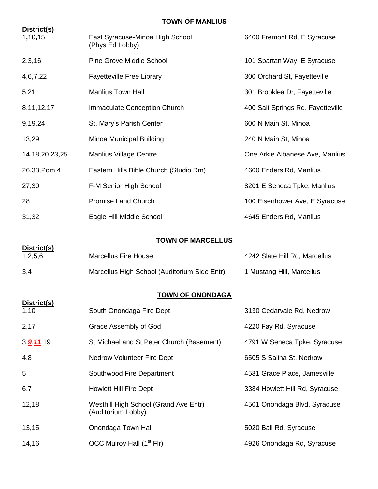# **TOWN OF MANLIUS**

| District(s)<br>1,10,15 | East Syracuse-Minoa High School<br>(Phys Ed Lobby)          | 6400 Fremont Rd, E Syracuse       |
|------------------------|-------------------------------------------------------------|-----------------------------------|
| 2,3,16                 | <b>Pine Grove Middle School</b>                             | 101 Spartan Way, E Syracuse       |
| 4,6,7,22               | <b>Fayetteville Free Library</b>                            | 300 Orchard St, Fayetteville      |
| 5,21                   | <b>Manlius Town Hall</b>                                    | 301 Brooklea Dr, Fayetteville     |
| 8, 11, 12, 17          | <b>Immaculate Conception Church</b>                         | 400 Salt Springs Rd, Fayetteville |
| 9,19,24                | St. Mary's Parish Center                                    | 600 N Main St, Minoa              |
| 13,29                  | Minoa Municipal Building                                    | 240 N Main St, Minoa              |
| 14, 18, 20, 23, 25     | <b>Manlius Village Centre</b>                               | One Arkie Albanese Ave, Manlius   |
| 26,33, Pom 4           | Eastern Hills Bible Church (Studio Rm)                      | 4600 Enders Rd, Manlius           |
| 27,30                  | F-M Senior High School                                      | 8201 E Seneca Tpke, Manlius       |
| 28                     | <b>Promise Land Church</b>                                  | 100 Eisenhower Ave, E Syracuse    |
| 31,32                  | Eagle Hill Middle School                                    | 4645 Enders Rd, Manlius           |
|                        | <b>TOWN OF MARCELLUS</b>                                    |                                   |
| District(s)            |                                                             |                                   |
| 1,2,5,6                | <b>Marcellus Fire House</b>                                 | 4242 Slate Hill Rd, Marcellus     |
| 3,4                    | Marcellus High School (Auditorium Side Entr)                | 1 Mustang Hill, Marcellus         |
|                        | <b>TOWN OF ONONDAGA</b>                                     |                                   |
| District(s)<br>1,10    | South Onondaga Fire Dept                                    | 3130 Cedarvale Rd, Nedrow         |
| 2,17                   | Grace Assembly of God                                       | 4220 Fay Rd, Syracuse             |
| 3, <u>9 11</u> , 19    | St Michael and St Peter Church (Basement)                   | 4791 W Seneca Tpke, Syracuse      |
| 4,8                    | <b>Nedrow Volunteer Fire Dept</b>                           | 6505 S Salina St, Nedrow          |
| 5                      | Southwood Fire Department                                   | 4581 Grace Place, Jamesville      |
| 6,7                    | <b>Howlett Hill Fire Dept</b>                               | 3384 Howlett Hill Rd, Syracuse    |
| 12,18                  | Westhill High School (Grand Ave Entr)<br>(Auditorium Lobby) | 4501 Onondaga Blvd, Syracuse      |
| 13,15                  | Onondaga Town Hall                                          | 5020 Ball Rd, Syracuse            |
| 14,16                  | OCC Mulroy Hall (1 <sup>st</sup> Flr)                       | 4926 Onondaga Rd, Syracuse        |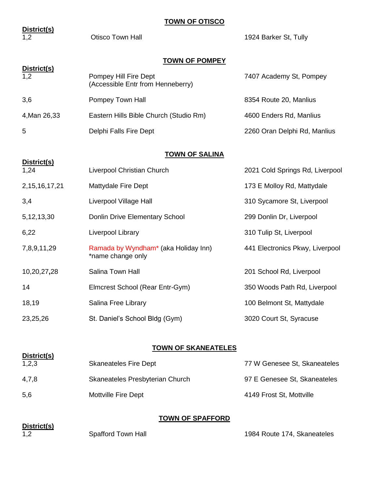#### **TOWN OF OTISCO**

| District(s)          |                                                            |                                 |
|----------------------|------------------------------------------------------------|---------------------------------|
| 1,2                  | <b>Otisco Town Hall</b>                                    | 1924 Barker St, Tully           |
|                      | <b>TOWN OF POMPEY</b>                                      |                                 |
| District(s)<br>1,2   | Pompey Hill Fire Dept<br>(Accessible Entr from Henneberry) | 7407 Academy St, Pompey         |
| 3,6                  | Pompey Town Hall                                           | 8354 Route 20, Manlius          |
| 4, Man 26, 33        | Eastern Hills Bible Church (Studio Rm)                     | 4600 Enders Rd, Manlius         |
| 5                    | Delphi Falls Fire Dept                                     | 2260 Oran Delphi Rd, Manlius    |
|                      | <b>TOWN OF SALINA</b>                                      |                                 |
| District(s)          |                                                            |                                 |
| 1,24                 | Liverpool Christian Church                                 | 2021 Cold Springs Rd, Liverpool |
| 2, 15, 16, 17, 21    | Mattydale Fire Dept                                        | 173 E Molloy Rd, Mattydale      |
| 3,4                  | Liverpool Village Hall                                     | 310 Sycamore St, Liverpool      |
| 5, 12, 13, 30        | Donlin Drive Elementary School                             | 299 Donlin Dr, Liverpool        |
| 6,22                 | Liverpool Library                                          | 310 Tulip St, Liverpool         |
| 7,8,9,11,29          | Ramada by Wyndham* (aka Holiday Inn)<br>*name change only  | 441 Electronics Pkwy, Liverpool |
| 10,20,27,28          | Salina Town Hall                                           | 201 School Rd, Liverpool        |
| 14                   | Elmcrest School (Rear Entr-Gym)                            | 350 Woods Path Rd, Liverpool    |
| 18,19                | Salina Free Library                                        | 100 Belmont St, Mattydale       |
| 23,25,26             | St. Daniel's School Bldg (Gym)                             | 3020 Court St, Syracuse         |
|                      |                                                            |                                 |
|                      | <b>TOWN OF SKANEATELES</b>                                 |                                 |
| District(s)<br>1,2,3 | <b>Skaneateles Fire Dept</b>                               | 77 W Genesee St, Skaneateles    |
|                      |                                                            |                                 |

4,7,8 Skaneateles Presbyterian Church 97 E Genesee St, Skaneateles 5,6 Mottville Fire Dept 4149 Frost St, Mottville

# **TOWN OF SPAFFORD**

| District(s) |
|-------------|
|             |

1,2 Spafford Town Hall 1984 Route 174, Skaneateles